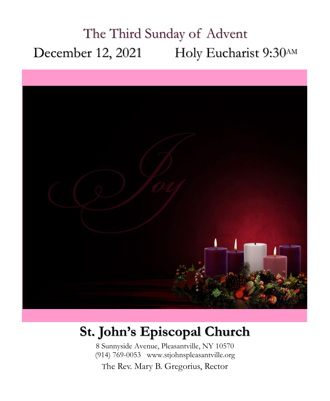# The Third Sunday of Advent December 12, 2021 Holy Eucharist 9:30AM



# **St. John's Episcopal Church**

8 Sunnyside Avenue, Pleasantville, NY 10570 (914) 769-0053 www.stjohnspleasantville.org

The Rev. Mary B. Gregorius, Rector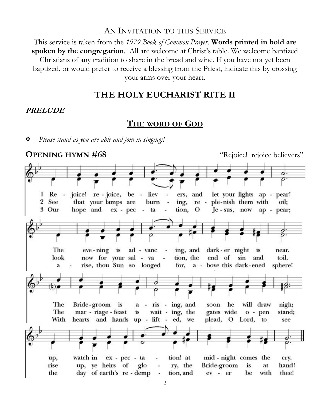#### AN INVITATION TO THIS SERVICE

This service is taken from the *1979 Book of Common Prayer*. **Words printed in bold are spoken by the congregation**. All are welcome at Christ's table. We welcome baptized Christians of any tradition to share in the bread and wine. If you have not yet been baptized, or would prefer to receive a blessing from the Priest, indicate this by crossing your arms over your heart.

#### **THE HOLY EUCHARIST RITE II**

#### **PRELUDE**

# **THE WORD OF GOD**

*Please stand as you are able and join in singing:!*

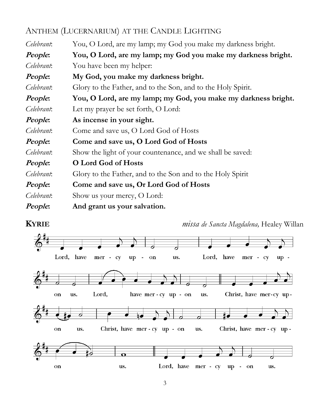# ANTHEM (LUCERNARIUM) AT THE CANDLE LIGHTING

| Celebrant: | You, O Lord, are my lamp; my God you make my darkness bright.  |  |  |
|------------|----------------------------------------------------------------|--|--|
| People:    | You, O Lord, are my lamp; my God you make my darkness bright.  |  |  |
| Celebrant. | You have been my helper:                                       |  |  |
| People:    | My God, you make my darkness bright.                           |  |  |
| Celebrant: | Glory to the Father, and to the Son, and to the Holy Spirit.   |  |  |
| People:    | You, O Lord, are my lamp; my God, you make my darkness bright. |  |  |
| Celebrant: | Let my prayer be set forth, O Lord:                            |  |  |
| People:    | As incense in your sight.                                      |  |  |
| Celebrant: | Come and save us, O Lord God of Hosts                          |  |  |
| People:    | Come and save us, O Lord God of Hosts                          |  |  |
| Celebrant. | Show the light of your countenance, and we shall be saved:     |  |  |
| People:    | <b>O</b> Lord God of Hosts                                     |  |  |
| Celebrant. | Glory to the Father, and to the Son and to the Holy Spirit     |  |  |
| People:    | Come and save us, Or Lord God of Hosts                         |  |  |
| Celebrant: | Show us your mercy, O Lord:                                    |  |  |
| People:    | And grant us your salvation.                                   |  |  |



**KYRIE** *missa de Sancta Magdalena,* Healey Willan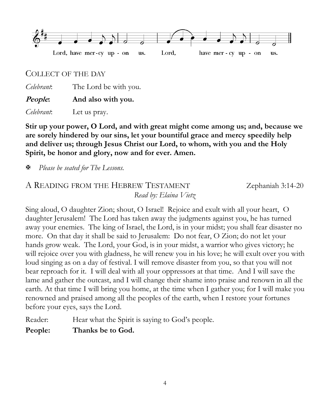

COLLECT OF THE DAY

*Celebrant*: The Lord be with you.

**People: And also with you.**

*Celebrant*: Let us pray.

**Stir up your power, O Lord, and with great might come among us; and, because we are sorely hindered by our sins, let your bountiful grace and mercy speedily help and deliver us; through Jesus Christ our Lord, to whom, with you and the Holy Spirit, be honor and glory, now and for ever. Amen.** 

*Please be seated for The Lessons.*

# A READING FROM THE HEBREW TESTAMENT Zephaniah 3:14-20 *Read by: Elaina Vietz*

Sing aloud, O daughter Zion; shout, O Israel! Rejoice and exult with all your heart, O daughter Jerusalem! The Lord has taken away the judgments against you, he has turned away your enemies. The king of Israel, the Lord, is in your midst; you shall fear disaster no more. On that day it shall be said to Jerusalem: Do not fear, O Zion; do not let your hands grow weak. The Lord, your God, is in your midst, a warrior who gives victory; he will rejoice over you with gladness, he will renew you in his love; he will exult over you with loud singing as on a day of festival. I will remove disaster from you, so that you will not bear reproach for it. I will deal with all your oppressors at that time. And I will save the lame and gather the outcast, and I will change their shame into praise and renown in all the earth. At that time I will bring you home, at the time when I gather you; for I will make you renowned and praised among all the peoples of the earth, when I restore your fortunes before your eyes, says the Lord.

Reader: Hear what the Spirit is saying to God's people.

**People: Thanks be to God.**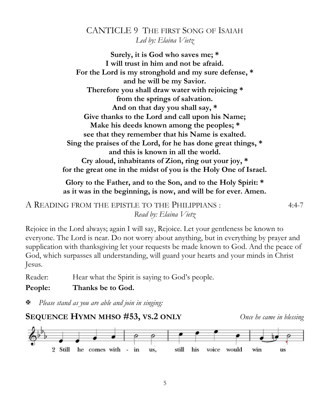# CANTICLE 9 THE FIRST SONG OF ISAIAH *Led by: Elaina Vietz*

**Surely, it is God who saves me; \* I will trust in him and not be afraid. For the Lord is my stronghold and my sure defense, \* and he will be my Savior. Therefore you shall draw water with rejoicing \* from the springs of salvation. And on that day you shall say, \* Give thanks to the Lord and call upon his Name; Make his deeds known among the peoples; \* see that they remember that his Name is exalted. Sing the praises of the Lord, for he has done great things, \* and this is known in all the world. Cry aloud, inhabitants of Zion, ring out your joy, \* for the great one in the midst of you is the Holy One of Israel.**

**Glory to the Father, and to the Son, and to the Holy Spirit: \* as it was in the beginning, is now, and will be for ever. Amen.**

A READING FROM THE EPISTLE TO THE PHILIPPIANS : 4:4-7 *Read by: Elaina Vietz*

Rejoice in the Lord always; again I will say, Rejoice. Let your gentleness be known to everyone. The Lord is near. Do not worry about anything, but in everything by prayer and supplication with thanksgiving let your requests be made known to God. And the peace of God, which surpasses all understanding, will guard your hearts and your minds in Christ Jesus.

Reader: Hear what the Spirit is saying to God's people.

**People: Thanks be to God.**

*Please stand as you are able and join in singing:*

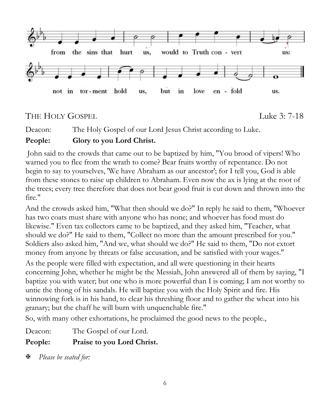

THE HOLY GOSPEL THE HOLY COSPEL

Deacon: The Holy Gospel of our Lord Jesus Christ according to Luke.

# **People: Glory to you Lord Christ.**

John said to the crowds that came out to be baptized by him, "You brood of vipers! Who warned you to flee from the wrath to come? Bear fruits worthy of repentance. Do not begin to say to yourselves, 'We have Abraham as our ancestor'; for I tell you, God is able from these stones to raise up children to Abraham. Even now the ax is lying at the root of the trees; every tree therefore that does not bear good fruit is cut down and thrown into the fire."

And the crowds asked him, "What then should we do?" In reply he said to them, "Whoever has two coats must share with anyone who has none; and whoever has food must do likewise." Even tax collectors came to be baptized, and they asked him, "Teacher, what should we do?" He said to them, "Collect no more than the amount prescribed for you." Soldiers also asked him, "And we, what should we do?" He said to them, "Do not extort money from anyone by threats or false accusation, and be satisfied with your wages."

As the people were filled with expectation, and all were questioning in their hearts concerning John, whether he might be the Messiah, John answered all of them by saying, "I baptize you with water; but one who is more powerful than I is coming; I am not worthy to untie the thong of his sandals. He will baptize you with the Holy Spirit and fire. His winnowing fork is in his hand, to clear his threshing floor and to gather the wheat into his granary; but the chaff he will burn with unquenchable fire."

So, with many other exhortations, he proclaimed the good news to the people.,

Deacon: The Gospel of our Lord.

# **People: Praise to you Lord Christ.**

*Please be seated for:*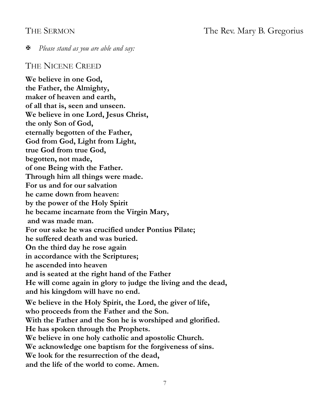*Please stand as you are able and say:*

#### THE NICENE CREED

**We believe in one God, the Father, the Almighty, maker of heaven and earth, of all that is, seen and unseen. We believe in one Lord, Jesus Christ, the only Son of God, eternally begotten of the Father, God from God, Light from Light, true God from true God, begotten, not made, of one Being with the Father. Through him all things were made. For us and for our salvation he came down from heaven: by the power of the Holy Spirit he became incarnate from the Virgin Mary, and was made man. For our sake he was crucified under Pontius Pilate; he suffered death and was buried. On the third day he rose again in accordance with the Scriptures; he ascended into heaven and is seated at the right hand of the Father He will come again in glory to judge the living and the dead, and his kingdom will have no end. We believe in the Holy Spirit, the Lord, the giver of life, who proceeds from the Father and the Son. With the Father and the Son he is worshiped and glorified. He has spoken through the Prophets. We believe in one holy catholic and apostolic Church. We acknowledge one baptism for the forgiveness of sins. We look for the resurrection of the dead, and the life of the world to come. Amen.**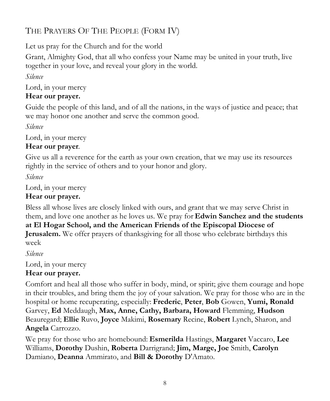# THE PRAYERS OF THE PEOPLE (FORM IV)

Let us pray for the Church and for the world

Grant, Almighty God, that all who confess your Name may be united in your truth, live together in your love, and reveal your glory in the world.

#### *Silence*

Lord, in your mercy

# **Hear our prayer.**

Guide the people of this land, and of all the nations, in the ways of justice and peace; that we may honor one another and serve the common good.

*Silence*

Lord, in your mercy

# **Hear our prayer**.

Give us all a reverence for the earth as your own creation, that we may use its resources rightly in the service of others and to your honor and glory.

*Silence*

Lord, in your mercy

# **Hear our prayer.**

Bless all whose lives are closely linked with ours, and grant that we may serve Christ in them, and love one another as he loves us. We pray for **Edwin Sanchez and the students at El Hogar School, and the American Friends of the Episcopal Diocese of Jerusalem.** We offer prayers of thanksgiving for all those who celebrate birthdays this week

*Silence*

Lord, in your mercy

# **Hear our prayer.**

Comfort and heal all those who suffer in body, mind, or spirit; give them courage and hope in their troubles, and bring them the joy of your salvation. We pray for those who are in the hospital or home recuperating, especially: **Frederic**, **Peter**, **Bob** Gowen, **Yumi, Ronald**  Garvey, **Ed** Meddaugh, **Max, Anne, Cathy, Barbara, Howard** Flemming, **Hudson**  Beauregard; **Ellie** Ruvo, **Joyce** Makimi, **Rosemary** Recine, **Robert** Lynch, Sharon, and **Angela** Carrozzo.

We pray for those who are homebound: **Esmerilda** Hastings, **Margaret** Vaccaro, **Lee**  Williams, **Dorothy** Dushin, **Roberta** Darrigrand; **Jim, Marge, Joe** Smith, **Carolyn** Damiano, **Deanna** Ammirato, and **Bill & Dorothy** D'Amato.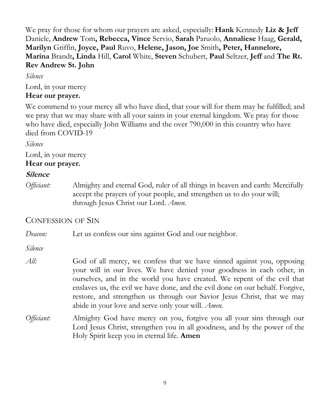We pray for those for whom our prayers are asked, especially: **Hank** Kennedy **Liz & Jeff**  Daniele, **Andrew** Tom**, Rebecca, Vince** Servio, **Sarah** Paruolo, **Annaliese** Haag, **Gerald, Marilyn** Griffin, **Joyce, Paul** Ruvo, **Helene, Jason, Joe** Smith**, Peter, Hannelore, Marina** Brandt**, Linda** Hill, **Carol** White, **Steven** Schubert, **Paul** Seltzer, **Jeff** and **The Rt. Rev Andrew St. John** 

*Silence*

Lord, in your mercy

#### **Hear our prayer.**

We commend to your mercy all who have died, that your will for them may be fulfilled; and we pray that we may share with all your saints in your eternal kingdom. We pray for those who have died, especially John Williams and the over 790,000 in this country who have died from COVID-19

*Silence*

Lord, in your mercy

# **Hear our prayer.**

#### **Silence**

*Officiant:* Almighty and eternal God, ruler of all things in heaven and earth: Mercifully accept the prayers of your people, and strengthen us to do your will; through Jesus Christ our Lord. *Amen.*

## CONFESSION OF SIN

*Deacon:* Let us confess our sins against God and our neighbor.

*Silence*

- *All:* God of all mercy, we confess that we have sinned against you, opposing your will in our lives. We have denied your goodness in each other, in ourselves, and in the world you have created. We repent of the evil that enslaves us, the evil we have done, and the evil done on our behalf. Forgive, restore, and strengthen us through our Savior Jesus Christ, that we may abide in your love and serve only your will. *Amen.*
- *Officiant:* Almighty God have mercy on you, forgive you all your sins through our Lord Jesus Christ, strengthen you in all goodness, and by the power of the Holy Spirit keep you in eternal life. **Amen**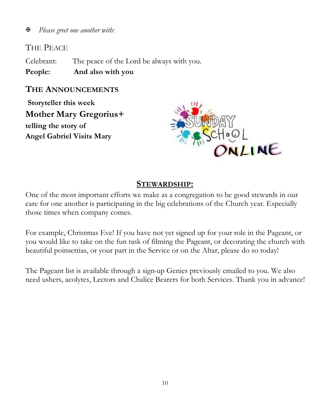*Please greet one another with:*

THE PEACE

Celebrant: The peace of the Lord be always with you. **People: And also with you**

**THE ANNOUNCEMENTS Storyteller this week Mother Mary Gregorius+ telling the story of Angel Gabriel Visits Mary**



# **STEWARDSHIP:**

One of the most important efforts we make as a congregation to be good stewards in our care for one another is participating in the big celebrations of the Church year. Especially those times when company comes.

For example, Christmas Eve! If you have not yet signed up for your role in the Pageant, or you would like to take on the fun task of filming the Pageant, or decorating the church with beautiful poinsettias, or your part in the Service or on the Altar, please do so today!

The Pageant list is available through a sign-up Genies previously emailed to you. We also need ushers, acolytes, Lectors and Chalice Bearers for both Services. Thank you in advance!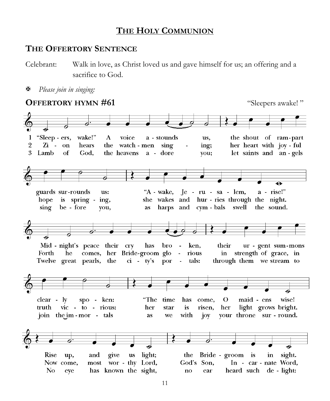# **THE HOLY COMMUNION**

# **THE OFFERTORY SENTENCE**

Celebrant: Walk in love, as Christ loved us and gave himself for us; an offering and a sacrifice to God.

*Please join in singing:*

#### **OFFERTORY HYMN #61** "Sleepers awake!"

"Sleep - ers, wake!" the shout of ram-part 1  $\bf{A}$ voice a - stounds us,  $\overline{2}$  $\mathbb{Z}$ i - on the watch - men sing her heart with joy - ful hears ing; 3 Lamb of God, the heavens a - dore let saints and an - gels you;  $\overline{\bullet}$ guards sur-rounds "A - wake, Je - ru - sa - lem, a - rise!" us: hope she wakes and hur - ries through the night. is spring ing, be - fore harps and cym-bals swell the sound. sing you,  $\bf{as}$ Mid - night's peace their cry has **bro** ken. their ur - gent sum-mons  $\sim$ comes, her Bride-groom glo strength of grace, in Forth he rious  $\mathbf{in}$ Twelve great pearls, the  $\dot{c}$  -  $\dot{v}$ 's tals: through them we stream to por  $\blacksquare$ ठ clear - ly "The time has  $\overline{O}$ maid - ens wise! spo - ken: come. star truth vic - to - rious: her is risen. her light grows bright. join the im-mor - tals with your throne sur - round. as we joy ⋥ ◢ **Rise** give us light; the Bride - groom is up, and in. sight. Now come. wor - thy Lord, God's Son, In - car - nate Word, most N<sub>o</sub> eye has known the sight,  $\mathbf{n}$ o ear heard such de - light: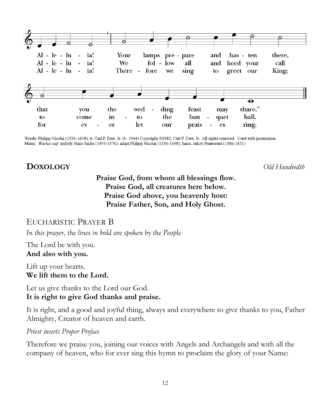

Words: Philipp Nicolai (1556-1608); tr. Carl P. Daw, Jr. (b. 1944) Copyright ©1982, Carl P. Daw, Jr. All rights reserved. Used with permission. Music: Wachet auf, melody Hans Sachs (1494-1576); adapt Philipp Nicolai (1556-1608); harm. Jakob Praetorius (1586-1651)

# **DOXOLOGY** *Old Hundredth*

## **Praise God, from whom all blessings flow. Praise God, all creatures here below. Praise God above, you heavenly host: Praise Father, Son, and Holy Ghost.**

EUCHARISTIC PRAYER B *In this prayer, the lines in bold are spoken by the People*

The Lord be with you. **And also with you.**

Lift up your hearts. **We lift them to the Lord.**

Let us give thanks to the Lord our God. **It is right to give God thanks and praise.**

It is right, and a good and joyful thing, always and everywhere to give thanks to you, Father Almighty, Creator of heaven and earth.

*Priest inserts Proper Preface*

Therefore we praise you, joining our voices with Angels and Archangels and with all the company of heaven, who for ever sing this hymn to proclaim the glory of your Name: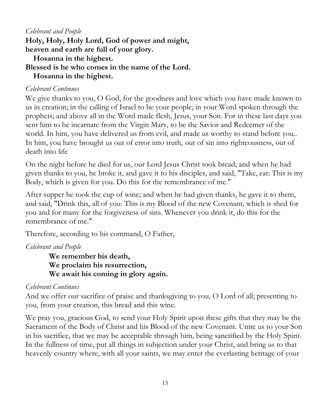#### *Celebrant and People*

**Holy, Holy, Holy Lord, God of power and might, heaven and earth are full of your glory.**

 **Hosanna in the highest.**

**Blessed is he who comes in the name of the Lord. Hosanna in the highest.**

#### *Celebrant Continues*

We give thanks to you, O God, for the goodness and love which you have made known to us in creation; in the calling of Israel to be your people; in your Word spoken through the prophets; and above all in the Word made flesh, Jesus, your Son. For in these last days you sent him to be incarnate from the Virgin Mary, to be the Savior and Redeemer of the world. In him, you have delivered us from evil, and made us worthy to stand before you.. In him, you have brought us out of error into truth, out of sin into righteousness, out of death into life

On the night before he died for us, our Lord Jesus Christ took bread; and when he had given thanks to you, he broke it, and gave it to his disciples, and said, "Take, eat: This is my Body, which is given for you. Do this for the remembrance of me."

After supper he took the cup of wine; and when he had given thanks, he gave it to them, and said, "Drink this, all of you: This is my Blood of the new Covenant, which is shed for you and for many for the forgiveness of sins. Whenever you drink it, do this for the remembrance of me."

Therefore, according to his command, O Father,

#### *Celebrant and People*

**We remember his death, We proclaim his resurrection, We await his coming in glory again.** 

#### *Celebrant Continues*

And we offer our sacrifice of praise and thanksgiving to you, O Lord of all; presenting to you, from your creation, this bread and this wine.

We pray you, gracious God, to send your Holy Spirit upon these gifts that they may be the Sacrament of the Body of Christ and his Blood of the new Covenant. Unite us to your Son in his sacrifice, that we may be acceptable through him, being sanctified by the Holy Spirit. In the fullness of time, put all things in subjection under your Christ, and bring us to that heavenly country where, with all your saints, we may enter the everlasting heritage of your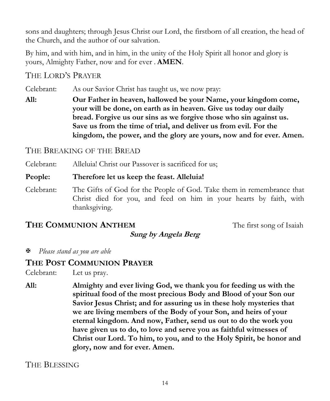sons and daughters; through Jesus Christ our Lord, the firstborn of all creation, the head of the Church, and the author of our salvation.

By him, and with him, and in him, in the unity of the Holy Spirit all honor and glory is yours, Almighty Father, now and for ever . **AMEN**.

# THE LORD'S PRAYER

Celebrant: As our Savior Christ has taught us, we now pray:

**All: Our Father in heaven, hallowed be your Name, your kingdom come, your will be done, on earth as in heaven. Give us today our daily bread. Forgive us our sins as we forgive those who sin against us. Save us from the time of trial, and deliver us from evil. For the kingdom, the power, and the glory are yours, now and for ever. Amen.** 

#### THE BREAKING OF THE BREAD

Celebrant: Alleluia! Christ our Passover is sacrificed for us;

#### **People: Therefore let us keep the feast. Alleluia!**

Celebrant: The Gifts of God for the People of God. Take them in remembrance that Christ died for you, and feed on him in your hearts by faith, with thanksgiving.

# **THE COMMUNION ANTHEM** The first song of Isaiah

#### **Sung by Angela Berg**

*Please stand as you are able* 

## **THE POST COMMUNION PRAYER**

Celebrant: Let us pray.

**All: Almighty and ever living God, we thank you for feeding us with the spiritual food of the most precious Body and Blood of your Son our Savior Jesus Christ; and for assuring us in these holy mysteries that we are living members of the Body of your Son, and heirs of your eternal kingdom. And now, Father, send us out to do the work you have given us to do, to love and serve you as faithful witnesses of Christ our Lord. To him, to you, and to the Holy Spirit, be honor and glory, now and for ever. Amen.**

THE BLESSING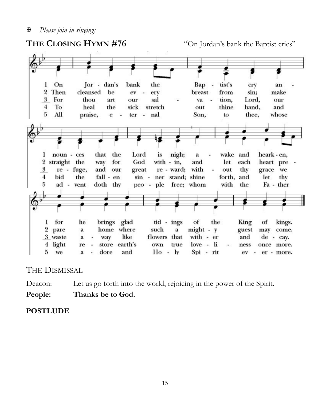

# THE DISMISSAL

Deacon: Let us go forth into the world, rejoicing in the power of the Spirit.

**People: Thanks be to God.**

#### **POSTLUDE**